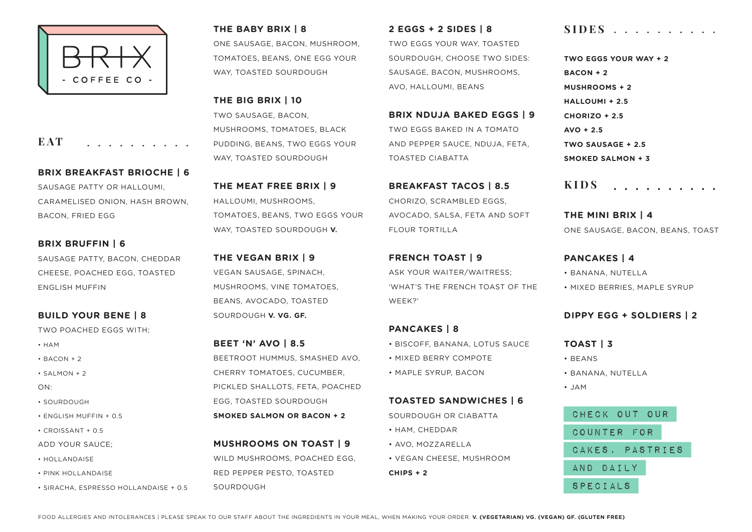

**EAT** . . . . . . . . . .

**BRIX BREAKFAST BRIOCHE | 6** SAUSAGE PATTY OR HALLOUMI, CARAMELISED ONION, HASH BROWN, BACON, FRIED EGG

**BRIX BRUFFIN | 6** SAUSAGE PATTY, BACON, CHEDDAR CHEESE, POACHED EGG, TOASTED ENGLISH MUFFIN

**BUILD YOUR BENE | 8** TWO POACHED EGGS WITH;

• HAM

- $\cdot$  RACON + 2
- SALMON + 2
- ON:
- SOURDOUGH
- ENGLISH MUFFIN + 0.5
- CROISSANT + 0.5
- ADD YOUR SAUCE;
- HOLLANDAISE
- PINK HOLLANDAISE
- SIRACHA, ESPRESSO HOLLANDAISE + 0.5

**THE BABY BRIX | 8**

ONE SAUSAGE, BACON, MUSHROOM, TOMATOES, BEANS, ONE EGG YOUR WAY, TOASTED SOURDOUGH

**THE BIG BRIX | 10** TWO SAUSAGE, BACON, MUSHROOMS, TOMATOES, BLACK PUDDING, BEANS, TWO EGGS YOUR WAY, TOASTED SOURDOUGH

**THE MEAT FREE BRIX | 9** HALLOUMI, MUSHROOMS, TOMATOES, BEANS, TWO EGGS YOUR WAY, TOASTED SOURDOUGH **V.**

**THE VEGAN BRIX | 9** VEGAN SAUSAGE, SPINACH, MUSHROOMS, VINE TOMATOES, BEANS, AVOCADO, TOASTED SOURDOUGH **V. VG. GF.**

**BEET 'N' AVO | 8.5** BEETROOT HUMMUS, SMASHED AVO, CHERRY TOMATOES, CUCUMBER, PICKLED SHALLOTS, FETA, POACHED EGG, TOASTED SOURDOUGH **SMOKED SALMON OR BACON + 2**

**MUSHROOMS ON TOAST | 9** WILD MUSHROOMS, POACHED EGG. RED PEPPER PESTO, TOASTED SOURDOUGH

**2 EGGS + 2 SIDES | 8** TWO EGGS YOUR WAY, TOASTED SOURDOUGH, CHOOSE TWO SIDES: SAUSAGE, BACON, MUSHROOMS, AVO, HALLOUMI, BEANS

**BRIX NDUJA BAKED EGGS | 9** TWO EGGS BAKED IN A TOMATO AND PEPPER SAUCE, NDUJA, FETA, TOASTED CIABATTA

**BREAKFAST TACOS | 8.5** CHORIZO, SCRAMBLED EGGS, AVOCADO, SALSA, FETA AND SOFT FLOUR TORTILLA

**FRENCH TOAST | 9** ASK YOUR WAITER/WAITRESS; 'WHAT'S THE FRENCH TOAST OF THE WEEK?'

## **PANCAKES | 8**

- BISCOFF, BANANA, LOTUS SAUCE
- MIXED BERRY COMPOTE
- MAPLE SYRUP, BACON

## **TOASTED SANDWICHES | 6**

SOURDOUGH OR CIABATTA

- HAM, CHEDDAR
- AVO, MOZZARELLA
- VEGAN CHEESE, MUSHROOM

**CHIPS + 2**

## **SIDES**

**TWO EGGS YOUR WAY + 2 BACON + 2 MUSHROOMS + 2 HALLOUMI + 2.5 CHORIZO + 2.5 AVO + 2.5 TWO SAUSAGE + 2.5 SMOKED SALMON + 3**

**KIDS**. . . . . . . . . .

**THE MINI BRIX | 4** ONE SAUSAGE, BACON, BEANS, TOAST

**PANCAKES | 4** • BANANA, NUTELLA

• MIXED BERRIES, MAPLE SYRUP

## **DIPPY EGG + SOLDIERS | 2**

**TOAST | 3**

• BEANS

• BANANA, NUTELLA

• JAM

 Check out our counter for cakes, pastries and daily specials